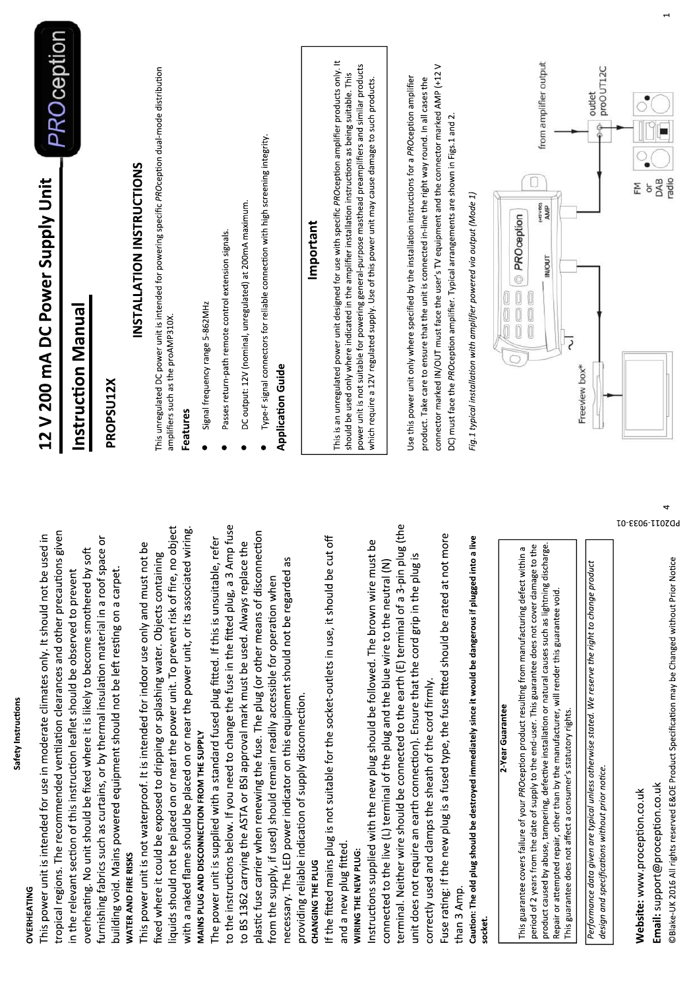| This power unit is intended for use in moderate climates only. It should not be used in                                                                                                                             | 12 V 200 mA DC Power Supply Unit                                                                                                                                                                                  |
|---------------------------------------------------------------------------------------------------------------------------------------------------------------------------------------------------------------------|-------------------------------------------------------------------------------------------------------------------------------------------------------------------------------------------------------------------|
| tropical regions. The recommended ventilation clearances and other precautions given                                                                                                                                | <b>PROception</b>                                                                                                                                                                                                 |
| overheating. No unit should be fixed where it is likely to become smothered by soft<br>in the relevant section of this instruction leaflet should be observed to prevent                                            | Instruction Manual                                                                                                                                                                                                |
| furnishing fabrics such as curtains, or by thermal insulation material in a roof space or                                                                                                                           | PROPSU12X                                                                                                                                                                                                         |
| building void. Mains powered equipment should not be left resting on a carpet.<br>WATER AND FIRE RISKS                                                                                                              |                                                                                                                                                                                                                   |
| ەم<br>م<br>This power unit is not waterproof. It is intended for indoor use only and must not                                                                                                                       | INSTALLATION INSTRUCTIONS                                                                                                                                                                                         |
| object<br>fixed where it could be exposed to dripping or splashing water. Objects containing<br>liquids should not be placed on or near the power unit. To prevent risk of fire, no                                 | This unregulated DC power unit is intended for powering specific PROception dual-mode distribution<br>amplifiers such as the proAMP310X.                                                                          |
| with a naked flame should be placed on or near the power unit, or its associated wiring                                                                                                                             | Features                                                                                                                                                                                                          |
| MAINS PLUG AND DISCONNECTION FROM THE SUPPLY                                                                                                                                                                        | Signal frequency range 5-862MHz                                                                                                                                                                                   |
| to the instructions below. If you need to change the fuse in the fitted plug, a 3 Amp fuse<br>The power unit is supplied with a standard fused plug fitted. If this is unsuitable, refer                            | Passes return-path remote control extension signals.                                                                                                                                                              |
| to BS 1362 carrying the ASTA or BSI approval mark must be used. Always replace the                                                                                                                                  | DC output: 12V (nominal, unregulated) at 200mA maximum.                                                                                                                                                           |
| plastic fuse carrier when renewing the fuse. The plug (or other means of disconnection                                                                                                                              | Type-F signal connectors for reliable connection with high screening integrity.                                                                                                                                   |
| from the supply, if used) should remain readily accessible for operation when                                                                                                                                       | Application Guide                                                                                                                                                                                                 |
| necessary. The LED power indicator on this equipment should not be regarded as                                                                                                                                      |                                                                                                                                                                                                                   |
| providing reliable indication of supply disconnection.<br>CHANGING THE PLUG                                                                                                                                         | Important                                                                                                                                                                                                         |
| If the fitted mains plug is not suitable for the socket-outlets in use, it should be cut off                                                                                                                        |                                                                                                                                                                                                                   |
| and a new plug fitted.                                                                                                                                                                                              | This is an unregulated power unit designed for use with specific PROception amplifier products only. It<br>should be used only where indicated in the amplifier installation instructions as being suitable. This |
| WIRING THE NEW PLUG:                                                                                                                                                                                                | power unit is not suitable for powering general-purpose masthead preamplifiers and similar products                                                                                                               |
| Ъe<br>Instructions supplied with the new plug should be followed. The brown wire must                                                                                                                               | which require a 12V regulated supply. Use of this power unit may cause damage to such products.                                                                                                                   |
| connected to the live (L) terminal of the plug and the blue wire to the neutral (N)                                                                                                                                 |                                                                                                                                                                                                                   |
| ug (the<br>terminal. Neither wire should be connected to the earth (E) terminal of a 3-pin plu                                                                                                                      | Use this power unit only where specified by the installation instructions for a PROception amplifier                                                                                                              |
| unit does not require an earth connection). Ensure that the cord grip in the plug is<br>correctly used and clamps the sheath of the cord firmly.                                                                    | product. Take care to ensure that the unit is connected in-line the right way round. In all cases the                                                                                                             |
|                                                                                                                                                                                                                     | connector marked IN/OUT must face the user's TV equipment and the connector marked AMP (+12 V                                                                                                                     |
| Fuse rating: If the new plug is a fused type, the fuse fitted should be rated at not more                                                                                                                           | DC) must face the PROception amplifier. Typical arrangements are shown in Figs.1 and 2.                                                                                                                           |
| than 3 Amp.                                                                                                                                                                                                         |                                                                                                                                                                                                                   |
| Caution: The old plug should be destroyed immediately since it would be dangerous if plugged into a live<br>socket.                                                                                                 | Fig.1 typical installation with amplifier powered via output (Mode 1)                                                                                                                                             |
| 2-Year Guarantee                                                                                                                                                                                                    |                                                                                                                                                                                                                   |
| σ<br>This guarantee covers failure of your PROception product resulting from manufacturing defect within                                                                                                            | PROception<br>$\frac{1}{2}$                                                                                                                                                                                       |
| product caused by abuse, tampering, defective installation or natural causes such as lightning discharge.<br>period of 2 years from the date of supply to the end-user. This guarantee does not cover damage to the | from amplifier output<br>dWN<br>WNb                                                                                                                                                                               |
| Repair or attempted repair, other than by the manufacturer, will render this guarantee void.                                                                                                                        | INOUT                                                                                                                                                                                                             |
| This guarantee does not affect a consumer's statutory rights.                                                                                                                                                       |                                                                                                                                                                                                                   |
| Performance data given are typical unless otherwise stated. We reserve the right to change product<br>design and specifications without prior notice.                                                               | proOUT12C<br>outlet<br>Freeview box*                                                                                                                                                                              |
| L0-8806-LI0ZOd<br>Website: www.proception.co.uk                                                                                                                                                                     | 돈                                                                                                                                                                                                                 |
|                                                                                                                                                                                                                     | ð                                                                                                                                                                                                                 |
| 4<br>Email: support@proception.co.uk                                                                                                                                                                                | radio<br>DAB                                                                                                                                                                                                      |
| ©Blake-UK 2016 All rights reserved E&OE Product Specification may be Changed without Prior Notice                                                                                                                   |                                                                                                                                                                                                                   |

Safety Instructions

OVERHEATING